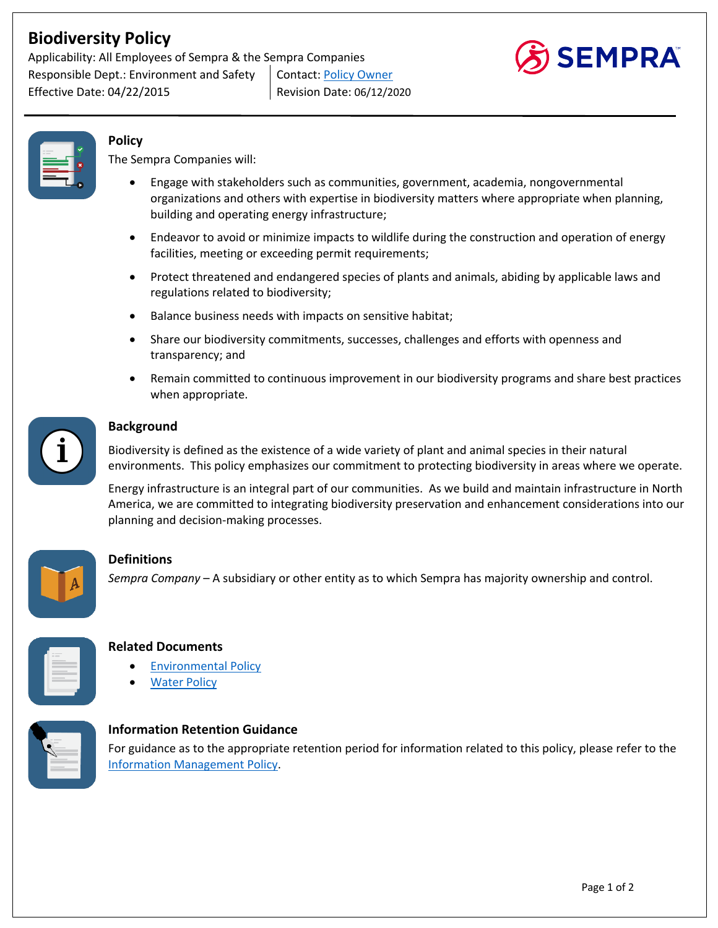# **Biodiversity Policy**

Applicability: All Employees of Sempra & the Sempra Companies Responsible Dept.: Environment and Safety | Contact: Policy Owner Effective Date: 04/22/2015 Revision Date: 06/12/2020





## **Policy**

The Sempra Companies will:

- Engage with stakeholders such as communities, government, academia, nongovernmental organizations and others with expertise in biodiversity matters where appropriate when planning, building and operating energy infrastructure;
- Endeavor to avoid or minimize impacts to wildlife during the construction and operation of energy facilities, meeting or exceeding permit requirements;
- Protect threatened and endangered species of plants and animals, abiding by applicable laws and regulations related to biodiversity;
- Balance business needs with impacts on sensitive habitat;
- Share our biodiversity commitments, successes, challenges and efforts with openness and transparency; and
- Remain committed to continuous improvement in our biodiversity programs and share best practices when appropriate.



#### **Background**

Biodiversity is defined as the existence of a wide variety of plant and animal species in their natural environments. This policy emphasizes our commitment to protecting biodiversity in areas where we operate.

Energy infrastructure is an integral part of our communities. As we build and maintain infrastructure in North America, we are committed to integrating biodiversity preservation and enhancement considerations into our planning and decision-making processes.



## **Definitions**

*Sempra Company* – A subsidiary or other entity as to which Sempra has majority ownership and control.



## **Related Documents**

- Environmental Policy
- **Water Policy**



## **Information Retention Guidance**

For guidance as to the appropriate retention period for information related to this policy, please refer to the Information Management Policy.